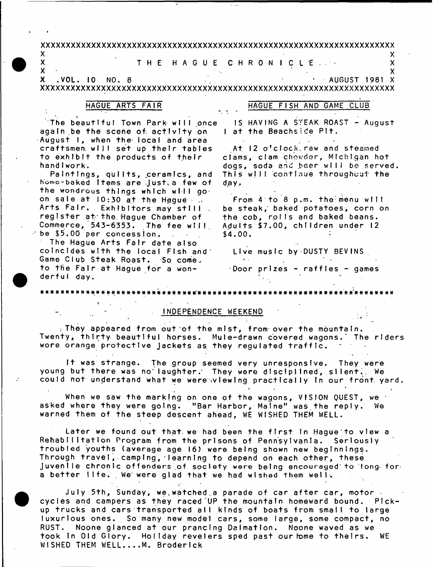#### **xxxxxxxxxxxxxxxxxxxxxxxxxxxxxxxxxxxxxxxxxxxxxxxxxxxxxxxxxxxxxxxxxxxxxx**

# $\mathsf{x}$  x and  $\mathsf{y}$  and  $\mathsf{y}$  and  $\mathsf{y}$  and  $\mathsf{y}$  and  $\mathsf{y}$  and  $\mathsf{y}$  and  $\mathsf{y}$ X T H E H A G U E C H R O N I C L E . - X

**x** •  $\bf{x}$  •  $\bf{y}$   $\bf{y}$   $\bf{y}$   $\bf{y}$   $\bf{y}$   $\bf{y}$   $\bf{y}$   $\bf{y}$   $\bf{y}$   $\bf{y}$   $\bf{y}$   $\bf{y}$   $\bf{y}$   $\bf{y}$   $\bf{y}$   $\bf{y}$   $\bf{y}$   $\bf{y}$   $\bf{y}$   $\bf{y}$   $\bf{y}$   $\bf{y}$   $\bf{y}$   $\bf{y}$   $\bf{y}$   $\bf{y}$ X .VOL. 10 NO. 8 **AUGUST 1981 X** XXXXXXXXXXXXXXXXXXXXXXXXXXXXXXXXXXXXXXXXXXXXXXXXXXXXXXXXXXXXXXXXXXXXXX

### HAGUE ARTS FAIR

### HAGUE FISH AND GAME CLUB

The beautiful Town Park will once again be the scene of activity on August I, when the local and area craftsmen will set up their tables to exhibit the products of their hand I work.

Paintings, quilts, ceramics, and home-baked Items are Just, a few of the wondrous things which will goon sale at  $10:30$  at the Haque Arts Fair. Exhibitors may still .. register at the Hague Chamber of Commerce, 543-6353. The fee will, be \$5.00 per concession.  $\mathcal{L}_{\text{max}}$  and  $\mathcal{L}_{\text{max}}$ The Hague Arts Fair date also coincides with the local Fish and' Game Club Steak Roast. So come. to the Fair at Hague for a wonderful dav.

IS HAVING A STEAK ROAST - August I at the Beachside Pit.

At 12 o'clock. raw and steamed clams, clam chowder, Michigan hot dogs, soda and beer will be served. This will continue throughout the day..

From  $4$  to  $8$  p.m. the menu will be steak,' baked potatoes, corn on the cob, rolls and baked beans. Adults \$7.00, children under 12 \$4.00.

Live music by-DUSTY BEVINS

 $\cdot$ Door prizes - raffies - games

r i *\* i*

« \* \* \* « \* f t \* \* \* \* \* \* \* \* \* \* \* \* \* \* \* \* \* \* \* \* \* \* \* \* ' \* # # \* # \* \* # # \* \* \* \* \* \* \* \* # # \* # # \* # # # # \* \* \* . \* ' \* \* \* # # # \* \*

 $\mathbf{r}$ 

# INDEPENDENCE WEEKEND

They appeared from out of the mist, from over the mountain. Twenty, thirty beautiful horses. Mule-drawn covered wagons.\* The riders wore orange protective jackets as they regulated traffic.

It was strange. The group seemed very unresponsive. They were young but there was no laughter. They were disciplined, silent. We could not understand what we were viewing practically in our front yard.

When we saw the marking on one of the wagons, VISION QUEST, we asked where they were going. "Bar Harbor, Maine" was.the reply. We warned them of the steep descent ahead, WE WISHED THEM WELL.

Later we found out that we had been the first in Hague to view a Rehabilitation Program from the prisons of Pennsylvania. Seriously troubled youths (average age 16) were being shown new beginnings. Through travel, camping, learning to depend on each other, these Juvenile chronic offenders of society were being encouraged to tong for: a better life. We were glad that we had wished them well.

July 5th, Sunday, we watched a parade of car after car, motor . cycles and campers as they raced UP the mountain homeward bound. Pickup trucks and cars transported all kinds of boats from small to large luxurious ones. So many new model cars, some large, some compact, no RUST. Noone glanced at our prancing Dalmatlon. Noone waved as we took in Old Glory. Holiday revelers sped past our home to theirs. WE WISHED THEM WELL....M. Broderick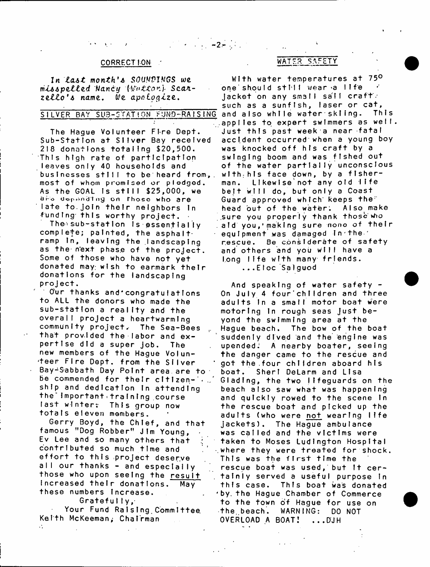# $-2 - 1$

#### CORRECTION:

In *Last* month's SOUNDINGS we  $m$ *isspelled Nancy (Watton)* Scarzello's name. We apologize.

The Haque Volunteer Fire Dept. Sub-Station at Silver Bay received 218 donations totaling \$20,500. This high rate of participation leaves only 40 households and businesses still to be heard from,, most of whom promised or pledged. As the GOAL Is still  $$25,000$ , we are depending on those who are late to join their neighbors in funding this worthy project.  $\cdot$ 

The sub-station is essentially complete; painted, the asphaltramp In, leaving the landscaping as the next phase of the project. Some of those who have not yet donated may; wish to earmark their donations for the landscaping project.

Our thanks and congratulations to ALL the donors who made the sub-station a reality and the overall project a heartwarming community project,- The Sea-Bees that prov. Ided the labor and expertise did a super job. The new members of the Hague Volun teer Fire Dept, from the Silver Bay-Sabbath Day Point area, are to be commended for their citizen-'\*. ship and dedication in attending the Important=tralnlng course last winter: This group now totals eleven members.

Gerry Boyd, the Chief, and that famous "Dog Robber" Jim Young, Ev Lee and so many others that contributed so much time and effort to this project deser.ve all our thanks - and especially those who upon seeing the result increased their donations. May these numbers Increase.

Gratefully,

W.

Your Fund Raising Committee Keith McKeeman; Chairman

# WATER SAFETY

SILVER BAY SUB-STATION FUND-RAISING and also while water skiing. This With water temperatures at 750 one should stlil wear a life jacket on any small sail craft: such as a sunfish, laser or cat, .applies to expert swimmers as well. Just this past week a near fatal accident occurred when a young boy was knocked off his craft by a swinging boom and was fished out of the water partially unconscious with, his face down, by a fisherman. Likewise not any old life belt will do, but only a Coast Guard approved which keeps the" head out of the water. Also make sure you properly thank those who aid you,'making sure nono of their equipment was damaged in the rescue. Be considerate of safety and others and you will have a Long life with many friends. ...Eloc Salguod

> And speaking of water safety -On July 4 four children and three adults in a small motor boat were motoring in rough seas just beyond the swimming area at the Hague beach. The bow of the boat suddenly dived and the engine was upended: A nearby boater, seeing the danger came to the rescue and got the four children aboard his boat. Sheri DeLarm and Lisa Gladlng, the two lifeguards on the beach also saw what was happening and quickly rowed to the scene in the rescue boat and picked up the adults (who were <u>not</u> wearing life jackets). The Hague ambulance was called and the victims were taken to Moses Ludington Hospital where they were treated for shock. This was the first time the rescue boat was used, but it certainly served a useful purpose in this case. This boat was donated 'by. the Hague Chamber of Commerce to the town of Hague for use on the beach. WARNING: DO NOT OVERLOAD A BOAT! ... DJH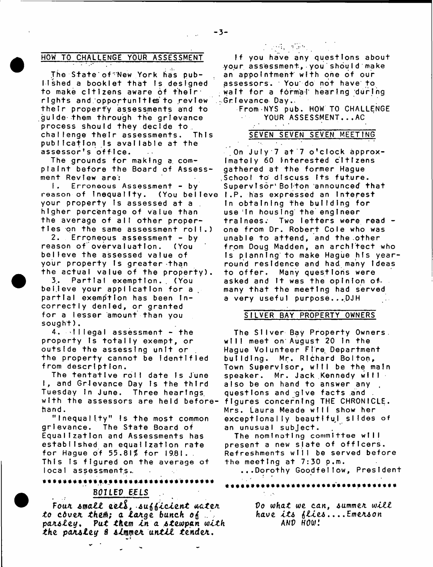## HOW TO CHALLENGE YOUR ASSESSMENT

 $\sim 10^{-10}$ 

The State of New York has pub-I shed a booklet that is designed to make citizens aware 6f their rights and opportunities to review their property assessments and to guide them through the grievance process should they decide to. challenge their assessments. This publication is available at the assessor's office.

The grounds for making a complaint before the Board of Assessment Review are:

I. Erroneous Assessment - by reason of Inequallty. (You belleve I.P. has expressed an Interest your property is assessed at a higher percentage of value than the average of all other properties on the same assessment roll.)

2. Erroneous assessment – by reason of overvaluation. (You believe the assessed value of your property is greater than the actual value of the property).

3. Partial exemption. (You believe your application for a partial exemption has been incorrectly denied, or granted for a lesser amount than you sought).

 $4.$   $\cdot$  Illegal assessment - the property is totally exempt, or outside the assessing unit or the property cannot be Identified from description.

The tentative roll date is June I, and Grievance Day is the third Tuesday in June. Three hearings, with the assessors are held beforeh a n d .

" Inequality" is the most common grievance. The State Board of Equalization and Assessments has e stablished an equalization rate for Hague of 55.81% for 1981. This is figured on the average of local assessments.

\*\*\*\*\*\*\*\*\*\*\*\*\*\*\*\*\*\*\*\*\*\*\*\*\*\*\*\*\*\*\*\*\*\*

# BOILED EELS ..

Four small eels, sufficient water. Oo what we can, summer will *to ctveK them; a la/ige bunch o(* .. *have It\* ille\** .... *EmeA\*on pa a\* ley\* Put In a \*tewpan with* AND HOW! *the pan\*ley 8 \* l m m u n til tender.*

 $\sim 1000$  . The  $\sim 1000$ 

If you have any questions about your assessment, you shouId make an appointment with one of our assessors. • You do not have to wait for a formal hearing during Grievance Day.

From NYS pub. HOW TO CHALLENGE YOUR ASSESSMENT...AC

## SEVEN SEVEN SEVEN MEETING

On July 7 at 7 o'clock approximately 60 Interested citizens gathered at the former Hague School to discuss its future. Supervisor' Boiton announced that In obtaining the building for use In housing the engineer trainees. Two letters were read one from Dr. Robert Cole who was unable to attend, and the other from Doug Madden, an architect who Is planning to make Hague his yearround residence and had many ideas to offer. Many questions were asked and It was the opinion ofmany that the meeting had served a very useful purpose...DJH

### SILVER BAY PROPERTY OWNERS

The Silver Bay Property Owners. will meet on August 20 in the Hague Volunteer Fire Department building. Mr. Richard Bolton, Town Supervisor, will be the main speaker. Mr. Jack Kennedy will also be on hand to answer any questions and give facts and figures concerning THE CHRONICLE. Mrs. Laura Meade will show her exceptionally beautiful sildes of an unusual subject.

The nomlnotlng committee will present a new slate of officers. Refreshments will be served before the meeting at 7:30 p.m.

...Dorothy Goodfellow, President  $\tau_{\rm eff}$   $\tau$ 

\*\*\*\*\*\*\*\*\*\*\*\*\*\*\*\*\*\*\*\*\*\*\*\*\*\*\*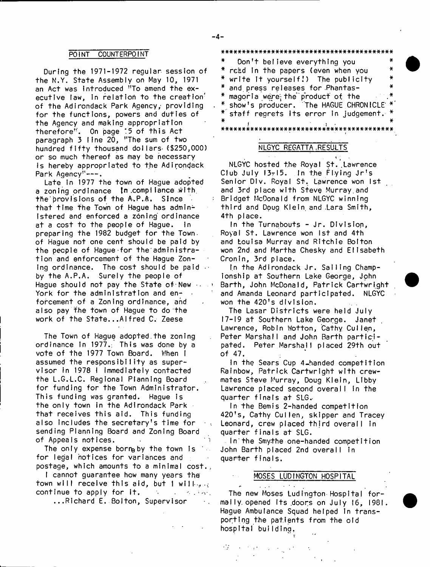#### POINT COUNTERPOINT

During the 1971-1972 regular session of the N.Y. State Assembly on May 10, 1971 an Act was introduced "To amend the executive law, in relation to the creation of the Adirondack Park Agency, providing for the functions, powers and duties of the Agency and making appropriation therefore". On page :5 of this Act paragraph 3 line 20, ''The sum of two hundred fifty thousand dollars- (\$250,000) or so much thereof as may be necessary is hereby appropriated to the Adirondack Park Agency"---.

Late in 1977 the town of Hague adopted a zoning ordinance In .compl lance .With, the provisions of the A.P.A. Since that time the Town of Haque has administered and enforced a zoning ordinance at a cost to the people of Hague. In preparing the 1982 budget for the Townof Hague not one cent should be paid by the people of Hague-for the administration and enforcement of the Hague Zoning ordinance. The cost should be paid  $\cdot$ by the A.P.A. Surely the people of Hague should not pay the State of New  $\cdots$ York for the administration and enforcement of a Zoning ordinance, and also pay the town of Hague to do the work of the State...Alfred C. Zeese

The Town of Hague adopted.the zoning ordinance In 1977.; This was done by a vote of the 1977 Town Board. V/hen I assumed the responsibility as supervisor in 1978 I immediately contacted the L.G.L.C. Regional Planning Board for funding for the Town Administrator. This funding was granted. Hague is the only town in the Adirondack Park that receives this aid. This funding also includes the secretary's time for sending Planning Board and Zoning Board of AppeaIs not ices.

The only expense borre by the town is for legal notices for variances and postage, which amounts to a minimal cost.

I cannot guarantee how many years the town will receive this aid, but I willcontinue to apply for It,  $\mathcal{N}_{\rm eff}$  $\sigma_{\rm eff}$  and  $\sigma_{\rm eff}$  $\mathbf{r}$ ...Richard E. Bolton, Supervisor  $\ddot{\phantom{0}}$ 

\*\*\*\*\*\*\*\*\*\*\*\* \*\*\*\*\*\*\*\*\*\*\*\*\*\*\*\*\*\*\*\*\*\*\*\*\*\*\*\*\* Don't believe everything you ¥ read in the papers (even when you  $\star$ ¥ write It yourself.') The publicity and press releases for .Phantas-× ¥ magoria were; the product of the show's producer. The HAGUE CHRONICLE \* staff regrets its error in judgement. . - . \* \* \* \* \* \* \* \* \* \* \* \* \* \* \* \* \* \* \* \* \* \* \* \* \* \* \* \* \* \* \* \* \* \* \* \* \* \* \* \* \*

#### NLGYC REGATTA .RESULTS

NLGYC hosted the Royal St. Lawrence Club July  $13z15$ . In the Flying Jr's Senior Div, Royal St. Lawrence won 1st and 3rd place with Steve Murray.and Bridget McDonald from NLGYC winning third and Doug Klein, and .Lara Smith, 4th place.

In the Turnabouts - Jr. Division, Royal St. Lawrence won 1st and 4th and Louisa Murray and Ritchie Bolton won 2nd and Martha Chesky and Elisabeth Cronin, 3rd place.

In the Adirondack Jr. Sailing Championship at Southern Lake George, John Barth, John McDonald, Patrick Cartwright and Amanda Leonard participated. NLGYC won the 420's division.

The Lasar Districts were held July 17-19 at Southern Lake George. Janet Lawrence, Robin Wotton, Cathy Cuilen, Peter Marshall and John Barth participated. Peter Marshall placed 29th out of 47.

In the Sears Cup 4 -handed competition Rainbow, Patrick Cartwright with crewmates Steve Murray, Doug Klein, Libby Lawrence placed second overall in the quarter finals at SLG.-

In the Bemis 2-handed competition 420's, Cathy Cullen, skipper and Tracey Leonard, crew placed third overall in quarter finals at SLG.

In'the Smythe one-handed competition John Barth placed 2nd overall in quarter finals.

### MOSES LUDINGTON HOSPITAL

The new Moses Ludington Hospital formally, opened Its .doors on July 16, 1981. Hague Ambulance Squad helped in transporting the patients from the old hospital building.

Ą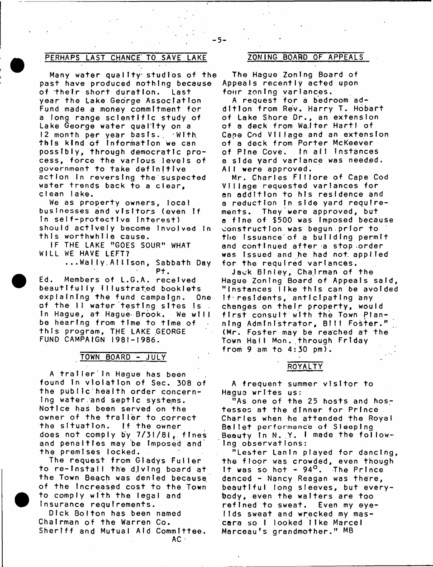# PERHAPS LAST CHANCE TO SAVE LAKE ZONING BOARD OF APPEALS

Many water quality studies of the past have produced nothing because of their short duration. Last year the Lake George Association Fund made a money commitment for a long range sclentific study of Lake George water quality on a 12 month per year basis. With this kind of Information we can possibly, through democratic process, force the various levels of government to take definitive action in reversing the suspected water trends back to a clear, clean lake.

We as property owners, local businesses and visitors (even if In self-protective interest) should actively become involved in this worthwhile cause.

IF THE LAKE "GOES SOUR" WHAT WILL WE HAVE LEFT?

> ...Wally Allison, Sabbath Day Pt.

Ed. Members of L.G.A. received beautifully Illustrated booklets explaining the fund campaign. One of the II water testing sites is In Hague, at Hague Brook. We will be hearing from time to time of this program, THE LAKE GEORGE FUND CAMPAIGN 1981-1986.

#### TOWN BOARD - JULY

A traller in Haque has been found in violation of Sec. 308 of the public health order concern-Ing water and septic systems. Notice has been served on the owner of the trailer to correct the situation. If the owner does not comply by 7/31/81,. fines and p enalties may be Imposed and the premises locked.

The request from Gladys Fuller to re-install the diving board at the Town Beach was denied because of the Increased cost to the Town to comply with the legal and Insurance requirements.

Dick Bolton has been named Chairman of the Warren Co. Sheriff and Mutual Aid Committee.

 $AC =$ 

The Hague Zoning Board of Appeals recently acted upon four zoning variances.

A request for a bedroom addition from Rev. Harry T. Hobart of Lake Shore Dr., an extension of a deck from Walter Hartl of Cape Cod Village and an extension of a deck from Porter McKeever of Pine Cove. In all instances a side vard variance was needed. All were approved.

Mr. Charles FIilore of Cape Cod Village requested variances for on addition to his residence and a reduction in side yard requirements. They were approved, but a fine of \$500 was imposed because construction was begun.prior to the Issuance of a building permit and continued after a stop order was issued and he had not applied for the required variances.

Jack Blnley, Chairman of the Hague Zoning Board of Appeals said, "Instances like this can be avoided If residents, anticipating any changes on their property, would first consult with the Town Planning Administrator, Bill Foster." (Mr. Foster may be reached at the Town Hall Mon..through Friday from 9 am to 4:30 pm)**.** 

ROYALTY

A frequent summer visitor to Hagus writes us:

"As one of the 25 hosts and hostesses at the dinner for Prince Charles when he attended the Royal Ballet performance of Sleeping Beauty in N.  $Y$ . I made the following observations:

"Lester Lanin played for dancing, the floor was crowded, even though It was so hot  $-94^\circ$ . The Prince danced - Nancy Reagan was there, beautiful long sleeves, but everybody, even the waiters are too refined to sweat. Even my eyelids sweat and wrecked my mascara so I looked like Marcel Marceau's grandmother." MB

 $-5-$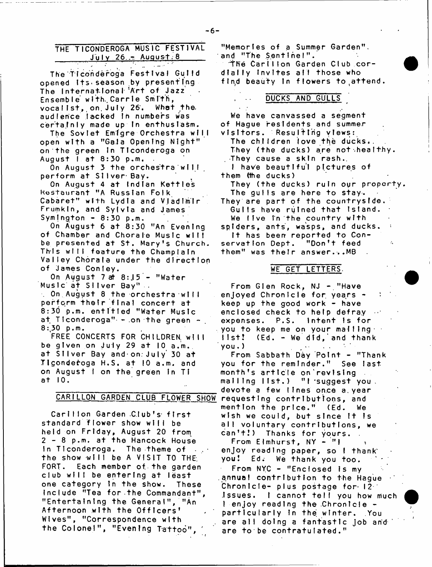# THE TICONDEROGA MUSIC FESTIVAL July 26 - August 8

The Ticonderoga Festival Gulld opened Its.season by presenting The International Art of Jazz Ensemble with Carrie Smith, vocalist, on July 26. What the audlence lacked in numbers was certainly made up in enthusiasm.

The Soviet Emigre Orchestra will open with a "Gala Opening Night" on the green in Ticonderoga on August 1 at 8:30 p.m.

On August 3 the orchestra will perform at Silver Bay.

On August 4 at Indian Kettles Restaurant "A Russian Folk Cabaret" with Lydia and Vladimir Frumkln, and Sylvia and James Symington  $-8:30$  p.m.

On August 6 at 8:30 "An Evening of Chamber and Chorale Music will be presented at St. Mary's Church. This will feature the Champlain Valley Chorale under the direction of James Conley.

On August 7 at  $8:15$  - "Water Music at Silver Bay" .

 $\sim$  On August 8 the orchestra will perform their final concert at 8:30 p.m. entitled "Water Music at Ticonderoga"  $+$  on the green  $+$ .  $8:30$  p.m.

FREE CONCERTS FOR CHILDREN wIII be given on July 29 at  $10$  a.m. at Silver Bay and-on.July 30 at Tigonderoga H.S. at 10 a.m. and on August I on the green In Ti at 10.

Carlllon Garden Club's first standard flower show will be held on Friday, August 20 from 2 - 8 p.m. at the Hancock House In Ticonderoga. The theme of the show will be A VISIT TO THE FORT. Each member of the garden club will be entering at least one category in the show. These Include "Tea for the Commandant", "Entertaining the General", "An Afternoon with the Officers' Wives", "Correspondence with the Colonel", "Evening Tattoo"

"Memories of a Summer Garden", and "The Sentinel". **The Carllion Garden Club cor-**

dially invites all those who find beauty in flowers to attend.

## DUCKS AND GULLS /

We have canvassed a segment of Hague residents and summer visitors. Resulting views:

The children love the ducks. They (the ducks) are not healthy. They cause a skin rash.

I have beautiful pictures of them (the ducks)

They (the ducks) ruin our property. The gulls are here to stay.

They are part of the countryside. Gulls have ruined that Island.

We live in the country with spiders, ants, wasps, and ducks. It has been reported to Conservation Dept. "Don't feed them" was their answer.-..MB

#### WE GET LETTERS.

From Glen Rock,  $NJ - "Have$ enjoyed Chronicie for years keep up the good work - have enclosed check to help defray expenses.  $P.S.$  intent is for  $\pm$ you to keep me on your malling $\pm$  $list!$  (Ed. - We did, and thank  $you.$ )

CARILLON GARDEN CLUB FLOWER SHOW requesting contributions, and From Sabbath Day Polnt - "Thank you for the reminder." See last month's article on'revlslng malling list.) "I suggest you. devote a few lines once a year mention the price." (Ed. We wish we could, but since it is all voluntary contributions, we can't!) Thanks for yours. .

From Elmhurst,  $NY - 1$ enjoy reading paper, so I thank you! Ed. We thank you too. From NYC - "Enclosed is my annual contribution to the Hague Chronicie- plus postage for  $12<sup>-1</sup>$ Issues. I cannot tell you how much  $l$  enjoy reading the Chronicle  $$ particularly in the winter. You are all doing a fantastic job and are to be contratulated."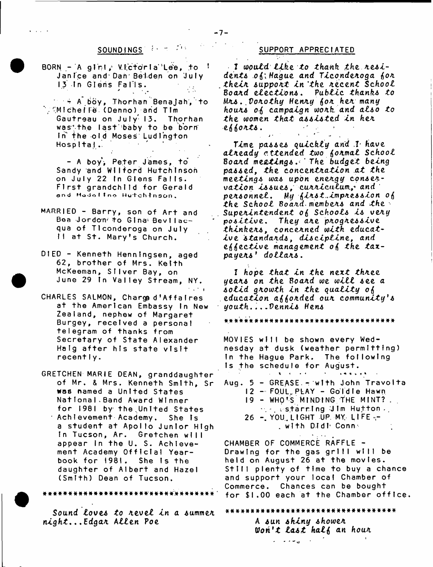# SOUNDINGS FOR SUPPORT APPRECIATED

 $BORN - A$  girl, Victoria Lee, to  $\frac{1}{2}$ Janice and Dan Belden on July 13 In Glens Falls.

 $\blacksquare$  = A  $\bigcirc$ oy, Thorhan Benajah, to  $^{\circ}$  (Michelle (Denno) and Tim Gautreau on July 13. Thorhan was the last baby to be born In the old Moses Ludington Hospital.

- A boy, Peter James, to Sandy and Wllford Hutchinson on July 22 In Glens Falls. First grandchild for Gerald **and Hodoltno H utchtnso n ,**

- MARRIED Barry, son of Art and Bea Jordon<sup>, t</sup>o Gina Bevilacqua of Tlconderoga on July Il at St. Mary's Church.
- DIED Kenneth Henningsen, aged 62, brother of Mrs. Keith McKeeman, Silver Bay, on June 29 In Valley Stream, NY.  $\rightarrow$  \*  $\rightarrow$
- CHARLES SALMON, Charge d'Affaires at the American Embassy In New Zealand, nephew of Margaret Burgey, recelved a personal telegram of thanks from Secretary of State Alexander Haig after his state visit recently.
- GRETCHEN MARIE DEAN, granddaughter of Mr. & Mrs. Kenneth Smith, Sr **Was named a United States** National Band Award Winner for 1981 by the United States Achlevement Academy. She is a student at Apollo Junior High In Tucson, Ar. Gretchen will appear in the U. S. Achievement Academy Official Yearbook for 1981. She Is the daughter of Albert and Hazel (Smith) Dean of Tucson.

Sound *Loves* to revel in a summer *night*. ..EdgaA A *lien* Poe

I would like to thank the residents of Haque and Ticonderoga for *thelx suppoxt In 'the. xecent School* BoaAd *electio n s. Public thank\* to Mxs*. *,Voxothy Henxy iox hex many* hours of campaign work and also to *the women that assisted In hex eiloxts.* '

\* 1 *\** -■ \* *Time passes quickly and .V have alxeady attended two fioxmal School* <sup>8</sup> *oaxd me&tlng\*The budget being passed, the concentxatlon at the meeting\* wa\* upon enexgy cqnsexvatlon Issues, cuxxlctilum.,^ and pexsonnet. My ilxst..lmpxes\*lon* otf *the School Board members and the Supexlntendent oi Schools I\* vexy p o sitiv e. They axe pxogxesslve think ex*\* , c o n c e A n e d *with, educative standards, discipline, and e l e c t i v e management oi the tax*payers' dollars.

<sup>I</sup>*hope that In the next thxee yeax\* on the Boaxd we w ill see a so lid gxowth In the quality o\$ education aftoxded oux community\*s youth.. . .Dennis Hen\**

# # \* \* •a'# # # # # # # # # # \* # \* # # # # # # # # # # # \* # # # #

MOVIES will be shown every Wednesday at dusk (weather permitting) In the Hague Park. The following Is the schedule for August.

 $\mathbf{a} \cdot \mathbf{a} \cdot \mathbf{a} \cdot \mathbf{a} \cdot \mathbf{b}$ 

Aug.  $5 - GREASE = w1th$  John Travolta 12 - FOUL PLAY - Goldle Hawn 19 - WHO'S MINDING THE MINT?.  $\sim$   $\sim$  starring Jim Hutton  $\sim$ 26 - YOU LIGHT UP MY LIFE--. with Didi Conne

CHAMBER OF COMMERCE RAFFLE -Drawing for the gas grill will be held on August 26 at the movies. Still plenty of time to buy a chance and support your local Chamber of Commerce. Chances can be bought for \$1.00 each at the Chamber office.

a####\*########\* ##\*#\*### \*\* #\*###\*\*# # A sun shiny shower *Won't last half an hour* المنابي سأخلف التد